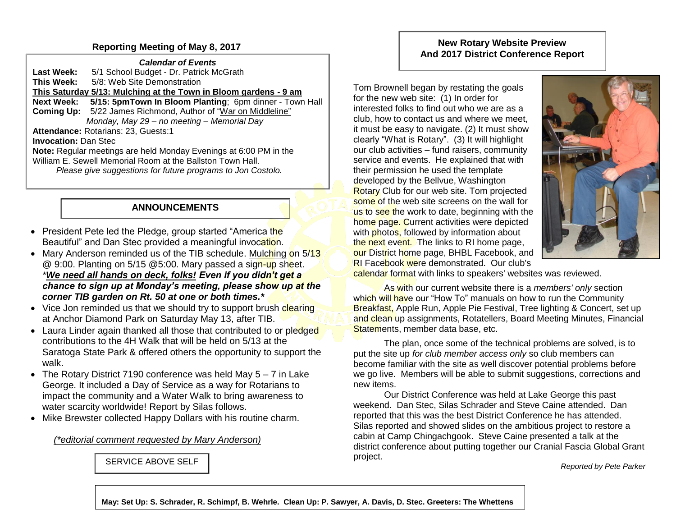## **Reporting Meeting of May 8, 2017**

*Calendar of Events* Last Week: 5/1 School Budget - Dr. Patrick McGrath **This Week:** 5/8: Web Site Demonstration **This Saturday 5/13: Mulching at the Town in Bloom gardens - 9 am Next Week: 5/15: 5pmTown In Bloom Planting**; 6pm dinner - Town Hall **Coming Up:** 5/22 James Richmond, Author of "War on Middleline" *Monday, May 29 – no meeting – Memorial Day* **Attendance:** Rotarians: 23, Guests:1 **Invocation:** Dan Stec **Note:** Regular meetings are held Monday Evenings at 6:00 PM in the William E. Sewell Memorial Room at the Ballston Town Hall.  *Please give suggestions for future programs to Jon Costolo.* 

## **ANNOUNCEMENTS**

- President Pete led the Pledge, group started "America the Beautiful" and Dan Stec provided a meaningful invocation.
- Mary Anderson reminded us of the TIB schedule. Mulching on  $\frac{5}{13}$ @ 9:00. Planting on 5/15 @5:00. Mary passed a sign-up sheet. *\*We need all hands on deck, folks! Even if you didn't get a chance to sign up at Monday's meeting, please show up at the corner TIB garden on Rt. 50 at one or both times.\**
- Vice Jon reminded us that we should try to support brush clearing at Anchor Diamond Park on Saturday May 13, after TIB.
- Laura Linder again thanked all those that contributed to or pledged contributions to the 4H Walk that will be held on 5/13 at the Saratoga State Park & offered others the opportunity to support the walk.
- The Rotary District 7190 conference was held May 5 7 in Lake George. It included a Day of Service as a way for Rotarians to impact the community and a Water Walk to bring awareness to water scarcity worldwide! Report by Silas follows.
- Mike Brewster collected Happy Dollars with his routine charm.

*(\*editorial comment requested by Mary Anderson)*

SERVICE ABOVE SELF

## **New Rotary Website Preview And 2017 District Conference Report**

Tom Brownell began by restating the goals for the new web site: (1) In order for interested folks to find out who we are as a club, how to contact us and where we meet, it must be easy to navigate. (2) It must show clearly "What is Rotary". (3) It will highlight our club activities – fund raisers, community service and events. He explained that with their permission he used the template developed by the Bellvue, Washington **Rotary Club for our web site. Tom projected** some of the web site screens on the wall for us to see the work to date, beginning with the home page. Current activities were depicted with **photos**, followed by information about the next event. The links to RI home page, our District home page, BHBL Facebook, and **RI Facebook were demonstrated. Our club's** 



calendar format with links to speakers' websites was reviewed.

As with our current website there is a *members' only* section which will have our "How To" manuals on how to run the Community Breakfast, Apple Run, Apple Pie Festival, Tree lighting & Concert, set up and clean up assignments, Rotatellers, Board Meeting Minutes, Financial Statements, member data base, etc.

The plan, once some of the technical problems are solved, is to put the site up *for club member access only* so club members can become familiar with the site as well discover potential problems before we go live. Members will be able to submit suggestions, corrections and new items.

Our District Conference was held at Lake George this past weekend. Dan Stec, Silas Schrader and Steve Caine attended. Dan reported that this was the best District Conference he has attended. Silas reported and showed slides on the ambitious project to restore a cabin at Camp Chingachgook. Steve Caine presented a talk at the district conference about putting together our Cranial Fascia Global Grant project.

*Reported by Pete Parker*

**May: Set Up: S. Schrader, R. Schimpf, B. Wehrle. Clean Up: P. Sawyer, A. Davis, D. Stec. Greeters: The Whettens**